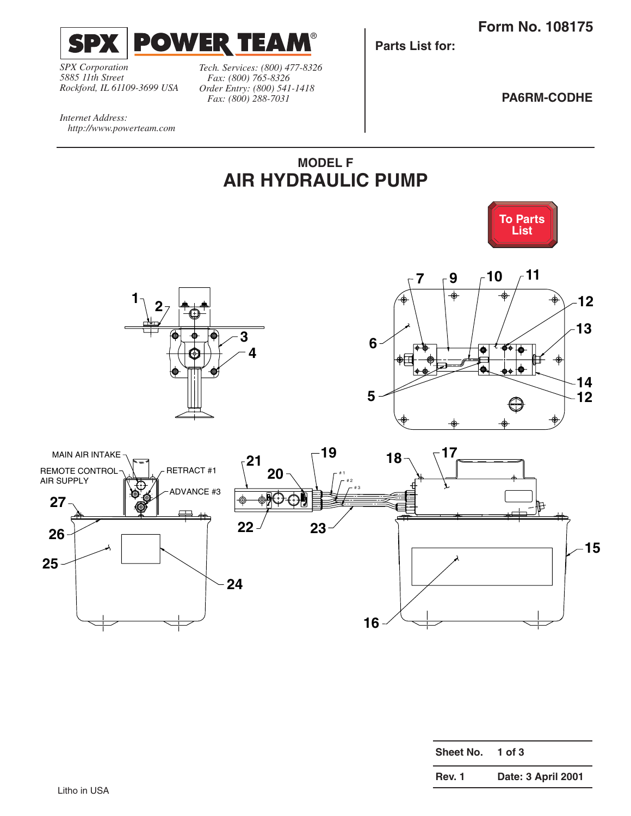<span id="page-0-0"></span>

*SPX Corporation 5885 11th Street Rockford, IL 61109-3699 USA*

*http://www.powerteam.com*

*Internet Address:*

*Tech. Services: (800) 477-8326 Fax: (800) 765-8326 Order Entry: (800) 541-1418 Fax: (800) 288-7031*

**Parts List for:**

**PA6RM-CODHE**



®



| <b>Sheet No.</b> | 1 of $3$           |
|------------------|--------------------|
| Rev. 1           | Date: 3 April 2001 |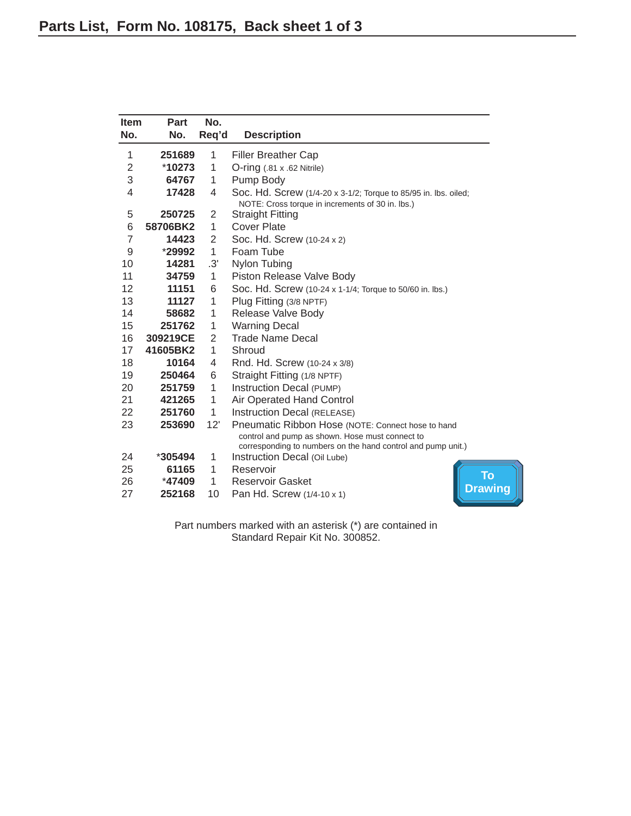<span id="page-1-0"></span>

| Item<br>No.    | Part<br>No. | No.<br>Req'd   | <b>Description</b>                                                                                                                                                   |
|----------------|-------------|----------------|----------------------------------------------------------------------------------------------------------------------------------------------------------------------|
|                |             |                |                                                                                                                                                                      |
| 1              | 251689      | 1              | <b>Filler Breather Cap</b>                                                                                                                                           |
| $\overline{2}$ | $*10273$    | 1              | $O$ -ring $(.81 \times .62$ Nitrile)                                                                                                                                 |
| 3              | 64767       | 1              | Pump Body                                                                                                                                                            |
| 4              | 17428       | 4              | Soc. Hd. Screw (1/4-20 x 3-1/2; Torque to 85/95 in. lbs. oiled;<br>NOTE: Cross torque in increments of 30 in. lbs.)                                                  |
| 5              | 250725      | 2              | <b>Straight Fitting</b>                                                                                                                                              |
| 6              | 58706BK2    | 1              | Cover Plate                                                                                                                                                          |
| $\overline{7}$ | 14423       | 2              | Soc. Hd. Screw (10-24 x 2)                                                                                                                                           |
| 9              | *29992      | 1              | Foam Tube                                                                                                                                                            |
| 10             | 14281       | .3'            | Nylon Tubing                                                                                                                                                         |
| 11             | 34759       | 1              | Piston Release Valve Body                                                                                                                                            |
| 12             | 11151       | 6              | Soc. Hd. Screw (10-24 x 1-1/4; Torque to 50/60 in. lbs.)                                                                                                             |
| 13             | 11127       | 1              | Plug Fitting (3/8 NPTF)                                                                                                                                              |
| 14             | 58682       | 1              | Release Valve Body                                                                                                                                                   |
| 15             | 251762      | 1              | <b>Warning Decal</b>                                                                                                                                                 |
| 16             | 309219CE    | $\overline{2}$ | <b>Trade Name Decal</b>                                                                                                                                              |
| 17             | 41605BK2    | 1              | Shroud                                                                                                                                                               |
| 18             | 10164       | 4              | Rnd. Hd. Screw (10-24 x 3/8)                                                                                                                                         |
| 19             | 250464      | 6              | Straight Fitting (1/8 NPTF)                                                                                                                                          |
| 20             | 251759      | 1              | Instruction Decal (PUMP)                                                                                                                                             |
| 21             | 421265      | 1              | Air Operated Hand Control                                                                                                                                            |
| 22             | 251760      | 1              | Instruction Decal (RELEASE)                                                                                                                                          |
| 23             | 253690      | 12'            | Pneumatic Ribbon Hose (NOTE: Connect hose to hand<br>control and pump as shown. Hose must connect to<br>corresponding to numbers on the hand control and pump unit.) |
| 24             | *305494     | 1              | Instruction Decal (Oil Lube)                                                                                                                                         |
| 25             | 61165       | 1              | Reservoir<br>To                                                                                                                                                      |
| 26             | *47409      | 1              | <b>Reservoir Gasket</b>                                                                                                                                              |
| 27             | 252168      | 10             | <b>Drawing</b><br>Pan Hd. Screw (1/4-10 x 1)                                                                                                                         |

Part numbers marked with an asterisk (\*) are contained in Standard Repair Kit No. 300852.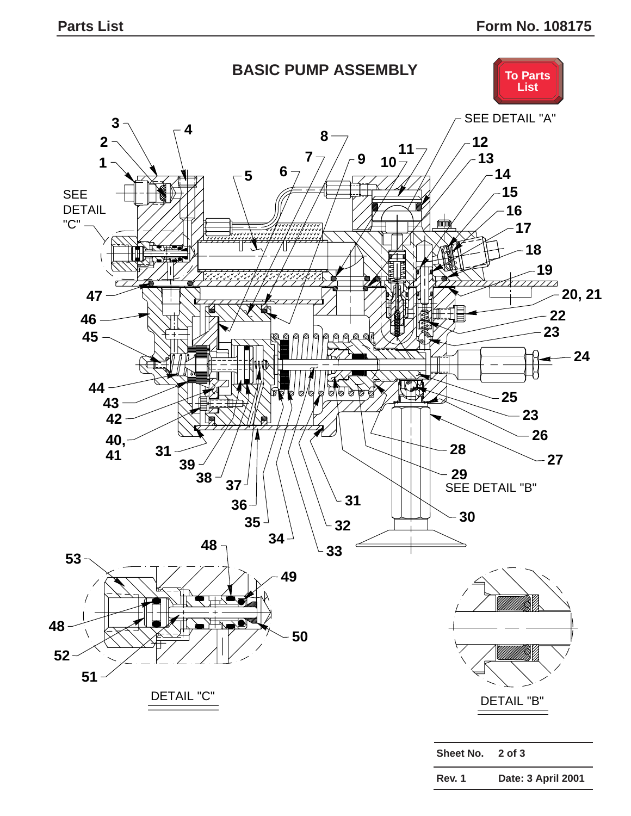<span id="page-2-0"></span>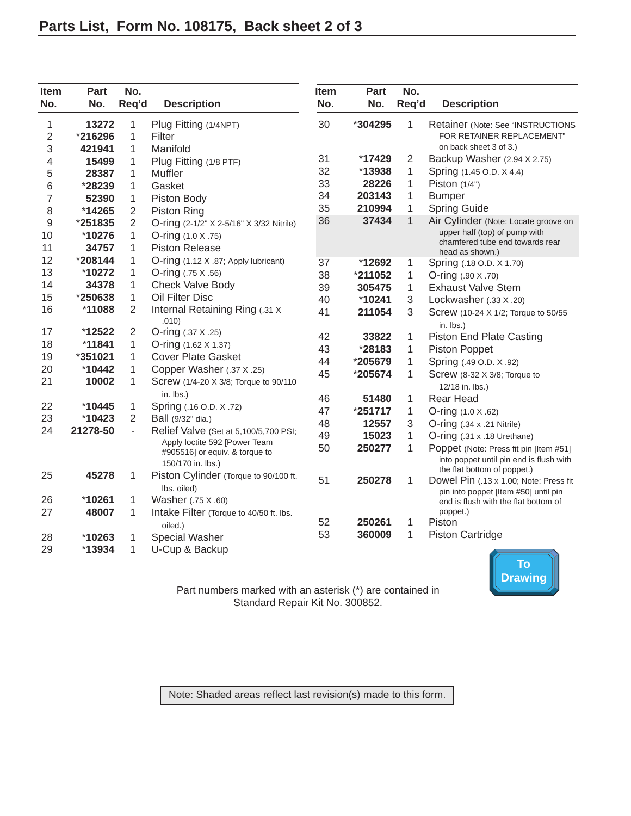<span id="page-3-0"></span>

| Item<br>No. | Part<br>No. | No.<br>Req'd | <b>Description</b>                                  | Item<br>No. | Part<br>No. | No.<br>Req'd | <b>Description</b>                                                           |
|-------------|-------------|--------------|-----------------------------------------------------|-------------|-------------|--------------|------------------------------------------------------------------------------|
| 1           | 13272       | 1            | Plug Fitting (1/4NPT)                               | 30          | *304295     | 1            | Retainer (Note: See "INSTRUCTIONS                                            |
| 2           | *216296     | 1            | Filter                                              |             |             |              | FOR RETAINER REPLACEMENT"                                                    |
| 3           | 421941      | 1            | Manifold                                            |             |             |              | on back sheet 3 of 3.)                                                       |
| 4           | 15499       | 1            | Plug Fitting (1/8 PTF)                              | 31          | *17429      | 2            | Backup Washer (2.94 X 2.75)                                                  |
| 5           | 28387       | 1            | Muffler                                             | 32          | *13938      | 1            | Spring (1.45 O.D. X 4.4)                                                     |
| 6           | *28239      | 1            | Gasket                                              | 33          | 28226       | 1            | Piston $(1/4")$                                                              |
| 7           | 52390       | 1            | Piston Body                                         | 34          | 203143      | 1            | <b>Bumper</b>                                                                |
| 8           | *14265      | 2            | Piston Ring                                         | 35          | 210994      | 1            | <b>Spring Guide</b>                                                          |
| 9           | *251835     | 2            | O-ring (2-1/2" X 2-5/16" X 3/32 Nitrile)            | 36          | 37434       | $\mathbf{1}$ | Air Cylinder (Note: Locate groove on                                         |
| 10          | *10276      | 1            | O-ring (1.0 X .75)                                  |             |             |              | upper half (top) of pump with<br>chamfered tube end towards rear             |
| 11          | 34757       | 1            | <b>Piston Release</b>                               |             |             |              | head as shown.)                                                              |
| 12          | *208144     | 1            | O-ring (1.12 X .87; Apply lubricant)                | 37          | *12692      | 1            | Spring (.18 O.D. X 1.70)                                                     |
| 13          | *10272      | 1            | O-ring (.75 X .56)                                  | 38          | *211052     | $\mathbf{1}$ | O-ring (.90 X .70)                                                           |
| 14          | 34378       | 1            | Check Valve Body                                    | 39          | 305475      | $\mathbf{1}$ | <b>Exhaust Valve Stem</b>                                                    |
| 15          | *250638     | 1            | Oil Filter Disc                                     | 40          | *10241      | 3            | Lockwasher (.33 X .20)                                                       |
| 16          | *11088      | 2            | Internal Retaining Ring (.31 X)<br>.010)            | 41          | 211054      | 3            | Screw (10-24 X 1/2; Torque to 50/55<br>in. lbs.)                             |
| 17          | *12522      | 2            | O-ring (.37 X .25)                                  | 42          | 33822       | 1            | <b>Piston End Plate Casting</b>                                              |
| 18          | *11841      | 1            | O-ring (1.62 X 1.37)                                | 43          | *28183      | 1            | Piston Poppet                                                                |
| 19          | *351021     | 1            | <b>Cover Plate Gasket</b>                           | 44          | *205679     | 1            | Spring (.49 O.D. X .92)                                                      |
| 20          | *10442      | 1            | Copper Washer (.37 X .25)                           | 45          | *205674     | 1            | Screw (8-32 X 3/8; Torque to                                                 |
| 21          | 10002       | 1            | Screw (1/4-20 X 3/8; Torque to 90/110               |             |             |              | 12/18 in. lbs.)                                                              |
|             |             |              | in. lbs.)                                           | 46          | 51480       | 1            | <b>Rear Head</b>                                                             |
| 22          | $*10445$    | 1            | Spring (.16 O.D. X .72)                             | 47          | *251717     | 1            | O-ring (1.0 X .62)                                                           |
| 23          | *10423      | 2            | Ball (9/32" dia.)                                   | 48          | 12557       | 3            | $O\text{-ring}$ (.34 x .21 Nitrile)                                          |
| 24          | 21278-50    | L.           | Relief Valve (Set at 5,100/5,700 PSI;               | 49          | 15023       | 1            | O-ring (.31 x .18 Urethane)                                                  |
|             |             |              | Apply loctite 592 [Power Team                       | 50          | 250277      | 1            | Poppet (Note: Press fit pin [Item #51]                                       |
|             |             |              | #905516] or equiv. & torque to<br>150/170 in. lbs.) |             |             |              | into poppet until pin end is flush with                                      |
| 25          | 45278       | 1            | Piston Cylinder (Torque to 90/100 ft.               |             |             |              | the flat bottom of poppet.)                                                  |
|             |             |              | lbs. oiled)                                         | 51          | 250278      | 1            | Dowel Pin (.13 x 1.00; Note: Press fit                                       |
| 26          | *10261      | 1            | Washer (.75 X .60)                                  |             |             |              | pin into poppet [Item #50] until pin<br>end is flush with the flat bottom of |
| 27          | 48007       | 1            | Intake Filter (Torque to 40/50 ft. lbs.             |             |             |              | poppet.)                                                                     |
|             |             |              | oiled.)                                             | 52          | 250261      | 1            | Piston                                                                       |
| 28          | *10263      | 1            | <b>Special Washer</b>                               | 53          | 360009      | 1            | <b>Piston Cartridge</b>                                                      |
| 29          | *13934      | 1            | U-Cup & Backup                                      |             |             |              |                                                                              |



Part numbers marked with an asterisk (\*) are contained in Standard Repair Kit No. 300852.

Note: Shaded areas reflect last revision(s) made to this form.